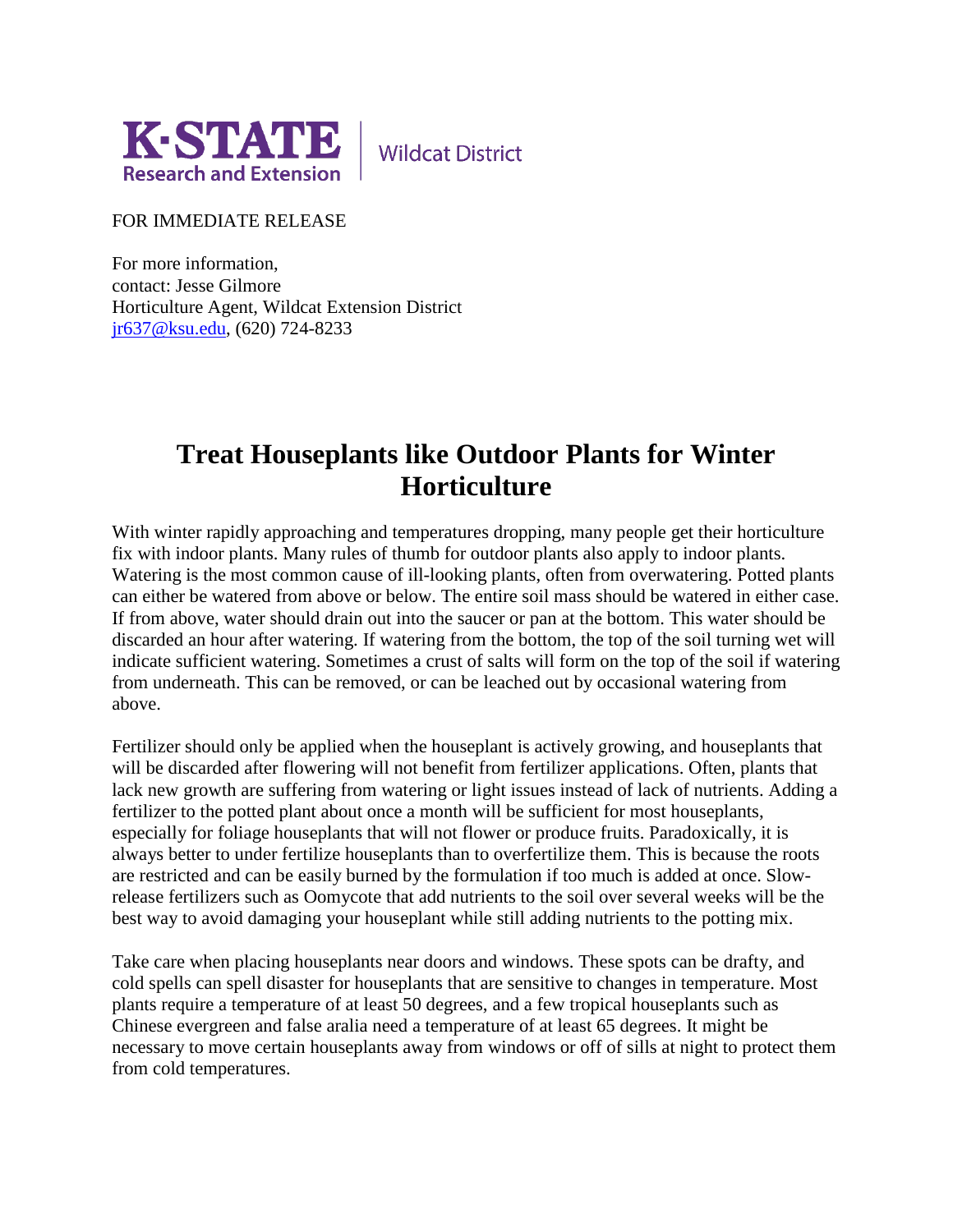

**Wildcat District** 

FOR IMMEDIATE RELEASE

For more information, contact: Jesse Gilmore Horticulture Agent, Wildcat Extension District [jr637@ksu.edu,](mailto:jr637@ksu.edu) (620) 724-8233

## **Treat Houseplants like Outdoor Plants for Winter Horticulture**

With winter rapidly approaching and temperatures dropping, many people get their horticulture fix with indoor plants. Many rules of thumb for outdoor plants also apply to indoor plants. Watering is the most common cause of ill-looking plants, often from overwatering. Potted plants can either be watered from above or below. The entire soil mass should be watered in either case. If from above, water should drain out into the saucer or pan at the bottom. This water should be discarded an hour after watering. If watering from the bottom, the top of the soil turning wet will indicate sufficient watering. Sometimes a crust of salts will form on the top of the soil if watering from underneath. This can be removed, or can be leached out by occasional watering from above.

Fertilizer should only be applied when the houseplant is actively growing, and houseplants that will be discarded after flowering will not benefit from fertilizer applications. Often, plants that lack new growth are suffering from watering or light issues instead of lack of nutrients. Adding a fertilizer to the potted plant about once a month will be sufficient for most houseplants, especially for foliage houseplants that will not flower or produce fruits. Paradoxically, it is always better to under fertilize houseplants than to overfertilize them. This is because the roots are restricted and can be easily burned by the formulation if too much is added at once. Slowrelease fertilizers such as Oomycote that add nutrients to the soil over several weeks will be the best way to avoid damaging your houseplant while still adding nutrients to the potting mix.

Take care when placing houseplants near doors and windows. These spots can be drafty, and cold spells can spell disaster for houseplants that are sensitive to changes in temperature. Most plants require a temperature of at least 50 degrees, and a few tropical houseplants such as Chinese evergreen and false aralia need a temperature of at least 65 degrees. It might be necessary to move certain houseplants away from windows or off of sills at night to protect them from cold temperatures.